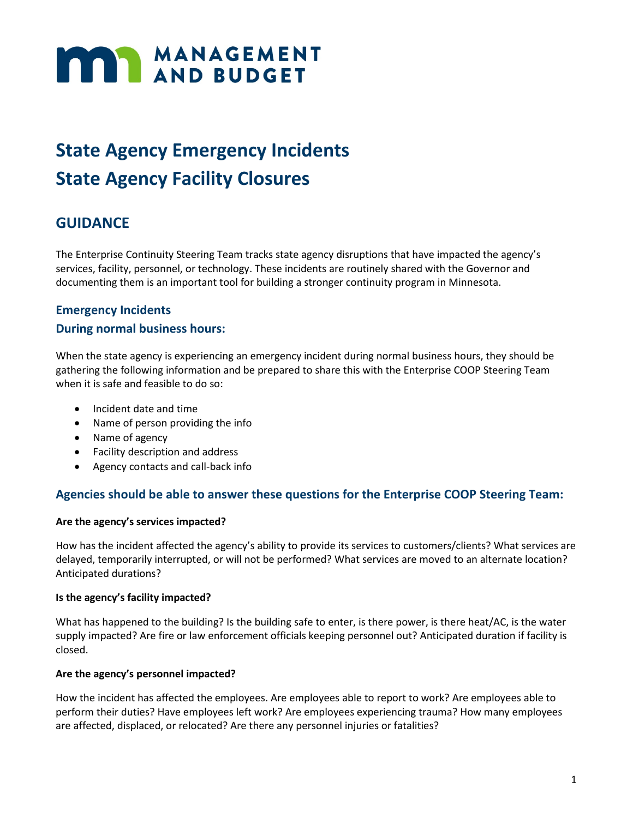# **MANAGEMENT**

## **State Agency Emergency Incidents State Agency Facility Closures**

## **GUIDANCE**

The Enterprise Continuity Steering Team tracks state agency disruptions that have impacted the agency's services, facility, personnel, or technology. These incidents are routinely shared with the Governor and documenting them is an important tool for building a stronger continuity program in Minnesota.

## **Emergency Incidents**

## **During normal business hours:**

When the state agency is experiencing an emergency incident during normal business hours, they should be gathering the following information and be prepared to share this with the Enterprise COOP Steering Team when it is safe and feasible to do so:

- Incident date and time
- Name of person providing the info
- Name of agency
- Facility description and address
- Agency contacts and call-back info

## **Agencies should be able to answer these questions for the Enterprise COOP Steering Team:**

### **Are the agency's services impacted?**

How has the incident affected the agency's ability to provide its services to customers/clients? What services are delayed, temporarily interrupted, or will not be performed? What services are moved to an alternate location? Anticipated durations?

### **Is the agency's facility impacted?**

What has happened to the building? Is the building safe to enter, is there power, is there heat/AC, is the water supply impacted? Are fire or law enforcement officials keeping personnel out? Anticipated duration if facility is closed.

### **Are the agency's personnel impacted?**

How the incident has affected the employees. Are employees able to report to work? Are employees able to perform their duties? Have employees left work? Are employees experiencing trauma? How many employees are affected, displaced, or relocated? Are there any personnel injuries or fatalities?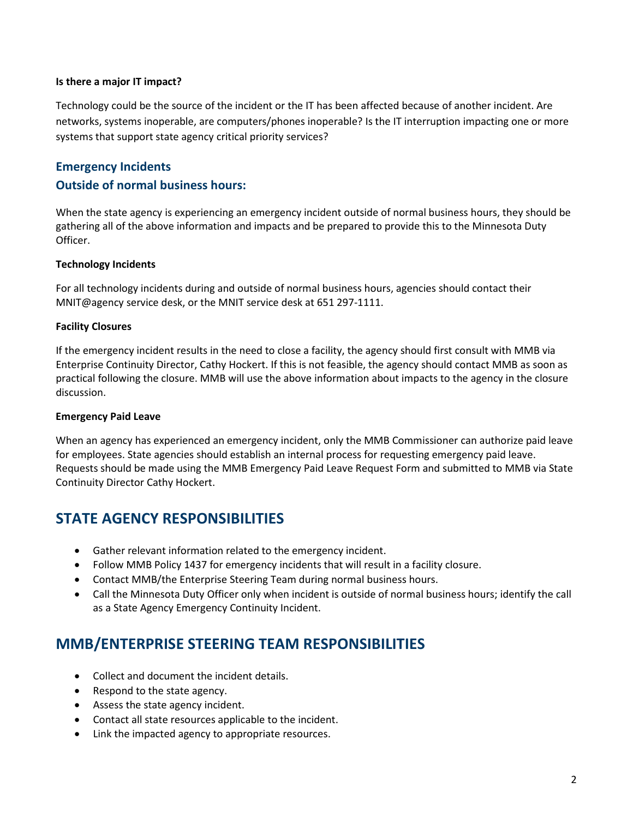#### **Is there a major IT impact?**

Technology could be the source of the incident or the IT has been affected because of another incident. Are networks, systems inoperable, are computers/phones inoperable? Is the IT interruption impacting one or more systems that support state agency critical priority services?

## **Emergency Incidents Outside of normal business hours:**

When the state agency is experiencing an emergency incident outside of normal business hours, they should be gathering all of the above information and impacts and be prepared to provide this to the Minnesota Duty Officer.

### **Technology Incidents**

For all technology incidents during and outside of normal business hours, agencies should contact their MNIT@agency service desk, or the MNIT service desk at 651 297-1111.

### **Facility Closures**

If the emergency incident results in the need to close a facility, the agency should first consult with MMB via Enterprise Continuity Director, Cathy Hockert. If this is not feasible, the agency should contact MMB as soon as practical following the closure. MMB will use the above information about impacts to the agency in the closure discussion.

#### **Emergency Paid Leave**

When an agency has experienced an emergency incident, only the MMB Commissioner can authorize paid leave for employees. State agencies should establish an internal process for requesting emergency paid leave. Requests should be made using the MMB Emergency Paid Leave Request Form and submitted to MMB via State Continuity Director Cathy Hockert.

## **STATE AGENCY RESPONSIBILITIES**

- Gather relevant information related to the emergency incident.
- Follow MMB Policy 1437 for emergency incidents that will result in a facility closure.
- Contact MMB/the Enterprise Steering Team during normal business hours.
- Call the Minnesota Duty Officer only when incident is outside of normal business hours; identify the call as a State Agency Emergency Continuity Incident.

## **MMB/ENTERPRISE STEERING TEAM RESPONSIBILITIES**

- Collect and document the incident details.
- Respond to the state agency.
- Assess the state agency incident.
- Contact all state resources applicable to the incident.
- Link the impacted agency to appropriate resources.